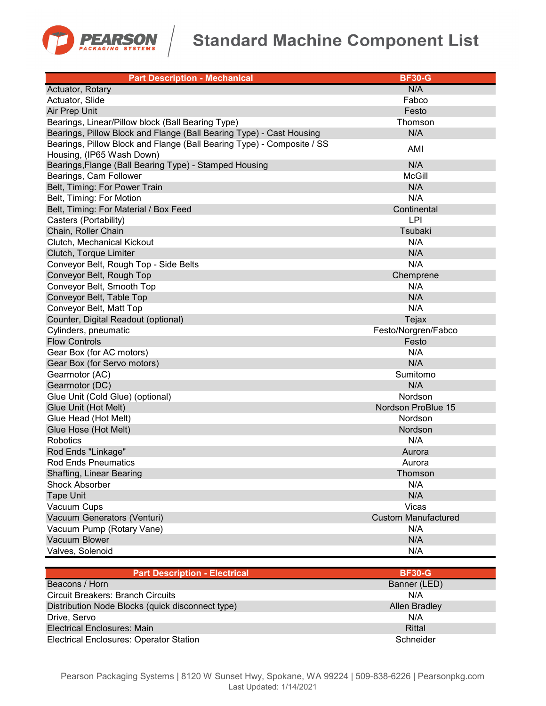

## **Standard Machine Component List**

| <b>Part Description - Mechanical</b>                                   | <b>BF30-G</b>              |
|------------------------------------------------------------------------|----------------------------|
| Actuator, Rotary                                                       | N/A                        |
| Actuator, Slide                                                        | Fabco                      |
| Air Prep Unit                                                          | Festo                      |
| Bearings, Linear/Pillow block (Ball Bearing Type)                      | Thomson                    |
| Bearings, Pillow Block and Flange (Ball Bearing Type) - Cast Housing   | N/A                        |
| Bearings, Pillow Block and Flange (Ball Bearing Type) - Composite / SS | AMI                        |
| Housing, (IP65 Wash Down)                                              |                            |
| Bearings, Flange (Ball Bearing Type) - Stamped Housing                 | N/A                        |
| Bearings, Cam Follower                                                 | <b>McGill</b>              |
| Belt, Timing: For Power Train                                          | N/A                        |
| Belt, Timing: For Motion                                               | N/A                        |
| Belt, Timing: For Material / Box Feed                                  | Continental                |
| Casters (Portability)                                                  | LPI                        |
| Chain, Roller Chain                                                    | Tsubaki                    |
| Clutch, Mechanical Kickout                                             | N/A                        |
| Clutch, Torque Limiter                                                 | N/A                        |
| Conveyor Belt, Rough Top - Side Belts                                  | N/A                        |
| Conveyor Belt, Rough Top                                               | Chemprene                  |
| Conveyor Belt, Smooth Top                                              | N/A                        |
| Conveyor Belt, Table Top                                               | N/A                        |
| Conveyor Belt, Matt Top                                                | N/A                        |
| Counter, Digital Readout (optional)                                    | Tejax                      |
| Cylinders, pneumatic                                                   | Festo/Norgren/Fabco        |
| <b>Flow Controls</b>                                                   | Festo                      |
| Gear Box (for AC motors)                                               | N/A                        |
| Gear Box (for Servo motors)                                            | N/A                        |
| Gearmotor (AC)                                                         | Sumitomo                   |
| Gearmotor (DC)                                                         | N/A                        |
| Glue Unit (Cold Glue) (optional)                                       | Nordson                    |
| Glue Unit (Hot Melt)                                                   | Nordson ProBlue 15         |
| Glue Head (Hot Melt)                                                   | Nordson                    |
| Glue Hose (Hot Melt)                                                   | Nordson                    |
| Robotics                                                               | N/A                        |
| Rod Ends "Linkage"                                                     | Aurora                     |
| <b>Rod Ends Pneumatics</b>                                             | Aurora                     |
| Shafting, Linear Bearing                                               | Thomson                    |
| <b>Shock Absorber</b>                                                  | N/A                        |
| <b>Tape Unit</b>                                                       | N/A                        |
| Vacuum Cups                                                            | Vicas                      |
| Vacuum Generators (Venturi)                                            | <b>Custom Manufactured</b> |
| Vacuum Pump (Rotary Vane)                                              | N/A                        |
| Vacuum Blower                                                          | N/A                        |
| Valves, Solenoid                                                       | N/A                        |

| <b>Part Description - Electrical</b>             | <b>BF30-G</b>        |
|--------------------------------------------------|----------------------|
| Beacons / Horn                                   | Banner (LED)         |
| <b>Circuit Breakers: Branch Circuits</b>         | N/A                  |
| Distribution Node Blocks (quick disconnect type) | <b>Allen Bradley</b> |
| Drive, Servo                                     | N/A                  |
| Electrical Enclosures: Main                      | Rittal               |
| <b>Electrical Enclosures: Operator Station</b>   | Schneider            |